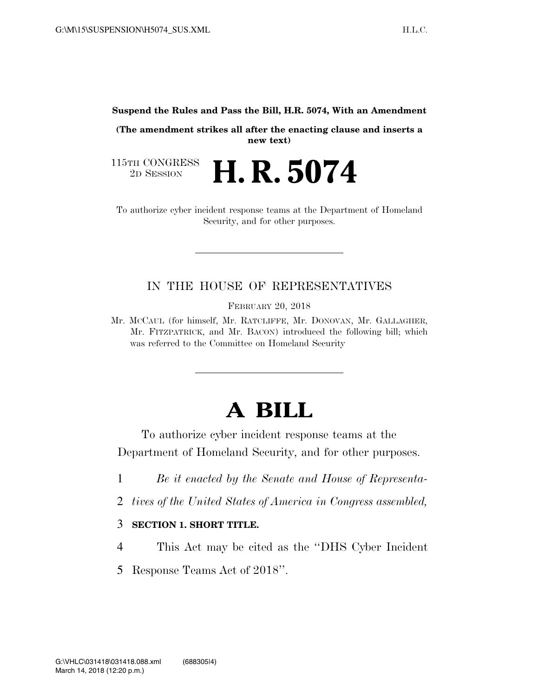**Suspend the Rules and Pass the Bill, H.R. 5074, With an Amendment** 

**(The amendment strikes all after the enacting clause and inserts a new text)** 

115TH CONGRESS<br>2D SESSION **H. R. 5074** 

To authorize cyber incident response teams at the Department of Homeland Security, and for other purposes.

## IN THE HOUSE OF REPRESENTATIVES

FEBRUARY 20, 2018

Mr. MCCAUL (for himself, Mr. RATCLIFFE, Mr. DONOVAN, Mr. GALLAGHER, Mr. FITZPATRICK, and Mr. BACON) introduced the following bill; which was referred to the Committee on Homeland Security

## **A BILL**

To authorize cyber incident response teams at the Department of Homeland Security, and for other purposes.

- 1 *Be it enacted by the Senate and House of Representa-*
- 2 *tives of the United States of America in Congress assembled,*

## 3 **SECTION 1. SHORT TITLE.**

- 4 This Act may be cited as the ''DHS Cyber Incident
- 5 Response Teams Act of 2018''.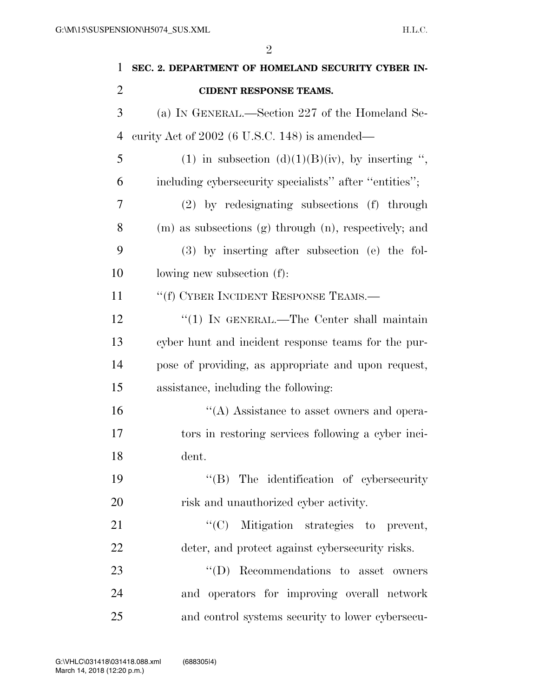| $\mathbf{1}$   | SEC. 2. DEPARTMENT OF HOMELAND SECURITY CYBER IN-      |
|----------------|--------------------------------------------------------|
| $\overline{2}$ | <b>CIDENT RESPONSE TEAMS.</b>                          |
| 3              | (a) IN GENERAL.—Section 227 of the Homeland Se-        |
| 4              | curity Act of $2002$ (6 U.S.C. 148) is amended—        |
| 5              | (1) in subsection (d)(1)(B)(iv), by inserting ",       |
| 6              | including cybersecurity specialists" after "entities"; |
| 7              | (2) by redesignating subsections (f) through           |
| 8              | (m) as subsections (g) through (n), respectively; and  |
| 9              | $(3)$ by inserting after subsection (e) the fol-       |
| 10             | lowing new subsection (f):                             |
| 11             | "(f) CYBER INCIDENT RESPONSE TEAMS.—                   |
| 12             | " $(1)$ IN GENERAL.—The Center shall maintain          |
| 13             | cyber hunt and incident response teams for the pur-    |
| 14             | pose of providing, as appropriate and upon request,    |
| 15             | assistance, including the following:                   |
| 16             | $\lq\lq$ . Assistance to asset owners and opera-       |
| 17             | tors in restoring services following a cyber inci-     |
| 18             | dent.                                                  |
| 19             | $\lq\lq$ (B) The identification of cybersecurity       |
| 20             | risk and unauthorized cyber activity.                  |
| 21             | "(C) Mitigation strategies to prevent,                 |
| 22             | deter, and protect against cybersecurity risks.        |
| 23             | $\lq\lq$ (D) Recommendations to asset owners           |
| 24             | and operators for improving overall network            |
| 25             | and control systems security to lower cybersecu-       |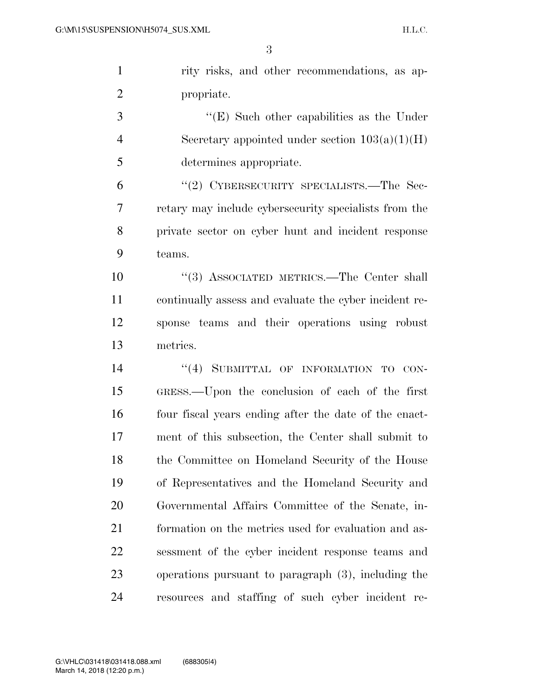| $\mathbf{1}$   | rity risks, and other recommendations, as ap-          |
|----------------|--------------------------------------------------------|
| $\overline{2}$ | propriate.                                             |
| 3              | " $(E)$ Such other capabilities as the Under           |
| $\overline{4}$ | Secretary appointed under section $103(a)(1)(H)$       |
| 5              | determines appropriate.                                |
| 6              | "(2) CYBERSECURITY SPECIALISTS.—The Sec-               |
| 7              | retary may include cybers equity specialists from the  |
| 8              | private sector on cyber hunt and incident response     |
| 9              | teams.                                                 |
| 10             | "(3) ASSOCIATED METRICS.—The Center shall              |
| 11             | continually assess and evaluate the cyber incident re- |
| 12             | sponse teams and their operations using robust         |
| 13             | metrics.                                               |
| 14             | "(4) SUBMITTAL OF INFORMATION TO CON-                  |
| 15             | GRESS.—Upon the conclusion of each of the first        |
| 16             | four fiscal years ending after the date of the enact-  |
| 17             | ment of this subsection, the Center shall submit to    |
| 18             | the Committee on Homeland Security of the House        |
| 19             | of Representatives and the Homeland Security and       |
| 20             | Governmental Affairs Committee of the Senate, in-      |
| 21             | formation on the metrics used for evaluation and as-   |
| 22             | sessment of the cyber incident response teams and      |
| 23             | operations pursuant to paragraph (3), including the    |
| 24             | resources and staffing of such cyber incident re-      |